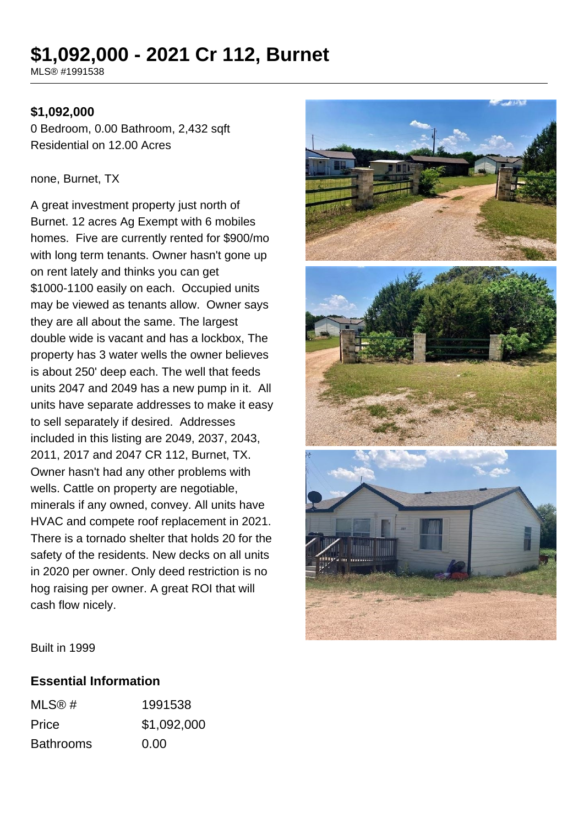# **\$1,092,000 - 2021 Cr 112, Burnet**

MLS® #1991538

#### **\$1,092,000**

0 Bedroom, 0.00 Bathroom, 2,432 sqft Residential on 12.00 Acres

#### none, Burnet, TX

A great investment property just north of Burnet. 12 acres Ag Exempt with 6 mobiles homes. Five are currently rented for \$900/mo with long term tenants. Owner hasn't gone up on rent lately and thinks you can get \$1000-1100 easily on each. Occupied units may be viewed as tenants allow. Owner says they are all about the same. The largest double wide is vacant and has a lockbox, The property has 3 water wells the owner believes is about 250' deep each. The well that feeds units 2047 and 2049 has a new pump in it. All units have separate addresses to make it easy to sell separately if desired. Addresses included in this listing are 2049, 2037, 2043, 2011, 2017 and 2047 CR 112, Burnet, TX. Owner hasn't had any other problems with wells. Cattle on property are negotiable, minerals if any owned, convey. All units have HVAC and compete roof replacement in 2021. There is a tornado shelter that holds 20 for the safety of the residents. New decks on all units in 2020 per owner. Only deed restriction is no hog raising per owner. A great ROI that will cash flow nicely.



Built in 1999

#### **Essential Information**

| MLS@#            | 1991538     |
|------------------|-------------|
| Price            | \$1,092,000 |
| <b>Bathrooms</b> | 0.00        |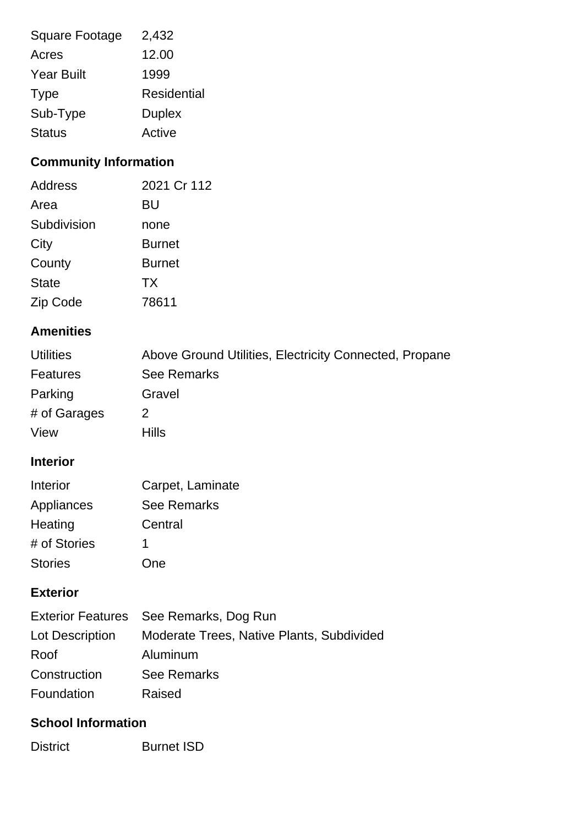| <b>Square Footage</b> | 2,432              |
|-----------------------|--------------------|
| Acres                 | 12.00              |
| <b>Year Built</b>     | 1999               |
| <b>Type</b>           | <b>Residential</b> |
| Sub-Type              | <b>Duplex</b>      |
| <b>Status</b>         | Active             |

## **Community Information**

| Address      | 2021 Cr 112   |
|--------------|---------------|
| Area         | BU            |
| Subdivision  | none          |
| City         | <b>Burnet</b> |
| County       | <b>Burnet</b> |
| <b>State</b> | <b>TX</b>     |
| Zip Code     | 78611         |

### **Amenities**

| <b>Utilities</b> | Above Ground Utilities, Electricity Connected, Propane |
|------------------|--------------------------------------------------------|
| Features         | <b>See Remarks</b>                                     |
| Parking          | Gravel                                                 |
| # of Garages     | 2                                                      |
| View             | <b>Hills</b>                                           |

### **Interior**

| Interior       | Carpet, Laminate   |
|----------------|--------------------|
| Appliances     | <b>See Remarks</b> |
| Heating        | Central            |
| # of Stories   |                    |
| <b>Stories</b> | One                |

### **Exterior**

|                 | Exterior Features See Remarks, Dog Run    |
|-----------------|-------------------------------------------|
| Lot Description | Moderate Trees, Native Plants, Subdivided |
| Roof            | Aluminum                                  |
| Construction    | <b>See Remarks</b>                        |
| Foundation      | Raised                                    |

### **School Information**

District Burnet ISD